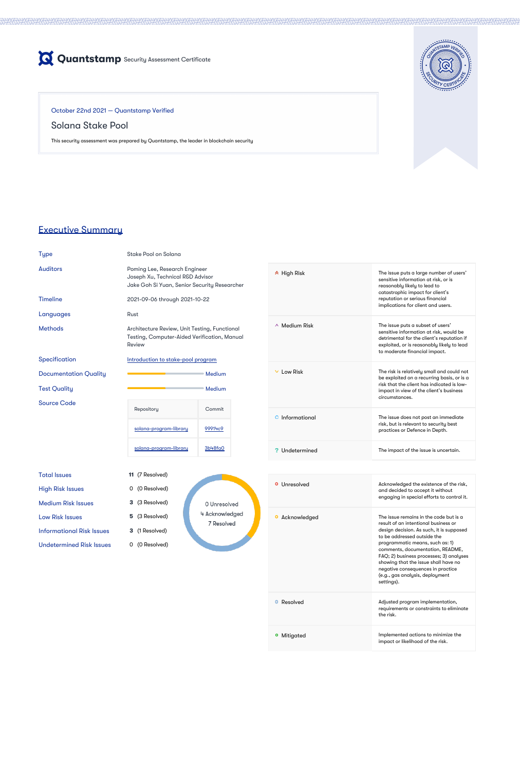

October 22nd 2021 — Quantstamp Verified

# Solana Stake Pool

This security assessment was prepared by Quantstamp, the leader in blockchain security



Auditors **Poming Lee, Research Engineer** Joseph Xu, Technical R&D Advisor Jake Goh Si Yuan, Senior Security Researcher

# Executive Summary

Type Stake Pool on Solana

# Total Issues **11** (7 Resolved) High Risk Issues 0 (0 Resolved)

- Low Risk Issues **5** (3 Resolved) Informational Risk Issues **3** (1 Resolved)
- Medium Risk Issues **3** (3 Resolved) Undetermined Risk Issues 0 (0 Resolved)
- 0 Unresolved 4 Acknowledged 7 Resolved

Testing, Computer-Aided Verification, Manual

Review

Source Code

|                        | Medium  |
|------------------------|---------|
|                        | Medium  |
| Repository             | Commit  |
| solana-program-library | 99914c9 |
| solana-program-library | 3b48fa0 |

High Risk The issue puts a large number of users' sensitive information at risk, or is reasonably likely to lead to

| <b>Timeline</b> |  |
|-----------------|--|
|                 |  |

#### 2021-09-06 through 2021-10-22

### Languages Rust

- Methods **Architecture Review, Unit Testing, Functional**
- Specification **Introduction** to stake-pool program
- **Documentation Quality**

**Test Quality** 

### **O** Unresolved **Acknowledged the existence of the risk,** and decided to accept it without engaging in special efforts to control it. **O** Acknowledged **The issue remains in the code but is a** result of an intentional business or design decision. As such, it is supposed to be addressed outside the programmatic means, such as: 1) comments, documentation, README, FAQ; 2) business processes; 3) analyses showing that the issue shall have no negative consequences in practice

|                    | catastrophic impact for client's<br>reputation or serious financial<br>implications for client and users.                                                                                                 |
|--------------------|-----------------------------------------------------------------------------------------------------------------------------------------------------------------------------------------------------------|
| $\sim$ Medium Risk | The issue puts a subset of users'<br>sensitive information at risk, would be<br>detrimental for the client's reputation if<br>exploited, or is reasonably likely to lead<br>to moderate financial impact. |
| Low Risk           | The risk is relatively small and could not<br>be exploited on a recurring basis, or is a<br>risk that the client has indicated is low-<br>impact in view of the client's business<br>circumstances.       |
| Informational      | The issue does not post an immediate<br>risk, but is relevant to security best<br>practices or Defence in Depth.                                                                                          |
| Undetermined       | The impact of the issue is uncertain.                                                                                                                                                                     |

|                | (e.g., gas analysis, deployment<br>settings).                                             |
|----------------|-------------------------------------------------------------------------------------------|
| Resolved<br>o  | Adjusted program implementation,<br>requirements or constraints to eliminate<br>the risk. |
| Mitigated<br>o | Implemented actions to minimize the<br>impact or likelihood of the risk.                  |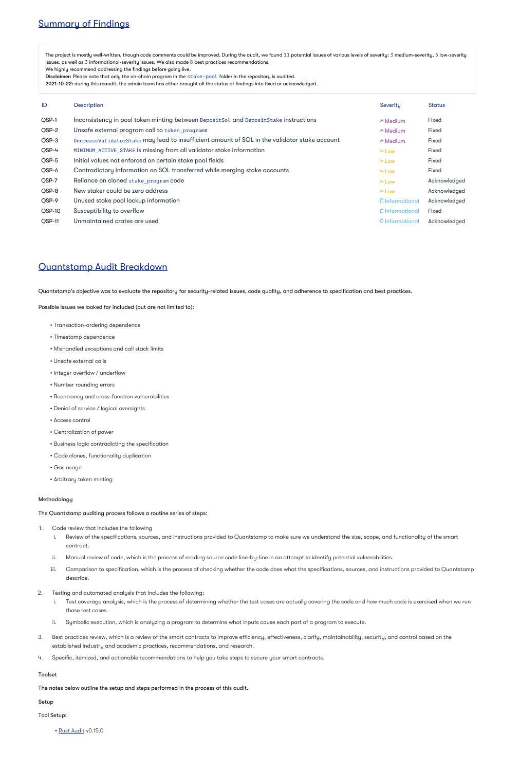# Summary of Findings

The project is mostly well-written, though code comments could be improved. During the audit, we found  $11$  potential issues of various levels of severity: 3 medium-severity, 5 low-severity issues, as well as 3 informational-severity issues. We also made  $8$  best practices recommendations.

We highly recommend addressing the findings before going live.

Disclaimer: Please note that only the on-chain program in the stake-pool folder in the repository is audited.

2021-10-22: during this reaudit, the admin team has either brought all the status of findings into fixed or acknowledged.

| ID     | Description                                                                                  | Severity        | <b>Status</b> |
|--------|----------------------------------------------------------------------------------------------|-----------------|---------------|
| QSP-1  | Inconsistency in pool token minting between DepositSol and DepositStake instructions         | $\wedge$ Medium | <b>Fixed</b>  |
| QSP-2  | Unsafe external program call to token programs                                               | $\sim$ Medium   | <b>Fixed</b>  |
| QSP-3  | DecreaseValidatorStake may lead to insufficient amount of SOL in the validator stake account | $\wedge$ Medium | <b>Fixed</b>  |
| QSP-4  | MINIMUM_ACTIVE_STAKE is missing from all validator stake information                         | $\vee$ Low      | <b>Fixed</b>  |
| QSP-5  | Initial values not enforced on certain stake pool fields                                     | $\vee$ Low      | <b>Fixed</b>  |
| QSP-6  | Contradictory information on SOL transferred while merging stake accounts                    | $\vee$ Low      | <b>Fixed</b>  |
| QSP-7  | Reliance on cloned stake_program code                                                        | $\vee$ Low      | Acknowledged  |
| QSP-8  | New staker could be zero address                                                             | $\vee$ Low      | Acknowledged  |
| QSP-9  | Unused stake pool lockup information                                                         | O Informational | Acknowledged  |
| QSP-10 | Susceptibility to overflow                                                                   | O Informational | <b>Fixed</b>  |
| OSP-11 | Unmaintained crates are used                                                                 | O Informational | Acknowledged  |

# Quantstamp Audit Breakdown

Quantstamp's objective was to evaluate the repository for security-related issues, code quality, and adherence to specification and best practices.

Possible issues we looked for included (but are not limited to):

- Transaction-ordering dependence
- Timestamp dependence
- Mishandled exceptions and call stack limits
- Unsafe external calls
- Integer overflow / underflow
- Number rounding errors
- Reentrancy and cross-function vulnerabilities
- Denial of service / logical oversights
- Access control
- Centralization of power
- Business logic contradicting the specification
- Code clones, functionality duplication
- Gas usage
- Arbitrary token minting

### Methodology

The Quantstamp auditing process follows a routine series of steps:

- 1. Code review that includes the following
	- i. Review of the specifications, sources, and instructions provided to Quantstamp to make sure we understand the size, scope, and functionality of the smart contract.
	- ii. Manual review of code, which is the process of reading source code line-by-line in an attempt to identify potential vulnerabilities.
	- iii. Comparison to specification, which is the process of checking whether the code does what the specifications, sources, and instructions provided to Quantstamp
		- describe.
- 2. Testing and automated analysis that includes the following:
	- i. Test coverage analysis, which is the process of determining whether the test cases are actually covering the code and how much code is exercised when we run those test cases.
	- ii. Symbolic execution, which is analyzing a program to determine what inputs cause each part of a program to execute.
- 3. Best practices review, which is a review of the smart contracts to improve efficiency, effectiveness, clarify, maintainability, security, and control based on the established industry and academic practices, recommendations, and research.
- 4. Specific, itemized, and actionable recommendations to help you take steps to secure your smart contracts.

### Toolset

The notes below outline the setup and steps performed in the process of this audit.

### Setup

Tool Setup:

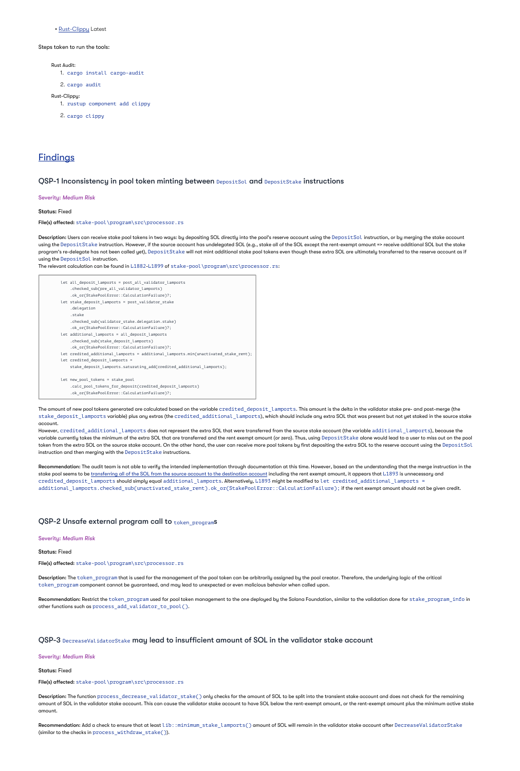• [Rust-Clippy](https://github.com/rust-lang/rust-clippy) Latest

Steps taken to run the tools:

Rust Audit:

1. cargo install cargo-audit

2. cargo audit

Rust-Clippy:

1. rustup component add clippy

2. cargo clippy

# **Findings**

### QSP-1 Inconsistency in pool token minting between DepositSol and DepositStake instructions

Severity: *Medium Risk*

Status: Fixed

File(s) affected: stake-pool\program\src\processor.rs

 $\sf{Description:}$  Users can receive stake pool tokens in two ways: by depositing SOL directly into the pool's reserve account using the  $\sf DepositSolt$  instruction, or by merging the stake account using the DepositStake instruction. However, if the source account has undelegated SOL (e.g., stake all of the SOL except the rent-exempt amount => receive additional SOL but the stake program's re-delegate has not been called yet), DepositStake will not mint additional stake pool tokens even though these extra SOL are ultimately transferred to the reserve account as if using the DepositSol instruction.

The relevant calculation can be found in L1882-L1899 of stake-pool \program\src\processor.rs:

The amount of new pool tokens generated are calculated based on the variable  $\mathtt{credicted\_deposit\_l}$  ampo $\mathtt{rts}$  . This amount is the delta in the validator stake pre- and post-merge (the stake\_deposit\_lamports variable) plus any extras (the credited\_additional\_lamports), which should include any extra SOL that was present but not yet staked in the source stake account.

However, <code>credited\_additional\_lamports</code> does not represent the extra SOL that were transferred from the source stake account (the variable <code>additional\_lamports),</code> because the variable currently takes the minimum of the extra SOL that are transferred and the rent exempt amount (or zero). Thus, using Depo $\texttt{sitstake}$  alone would lead to a user to miss out on the pool token from the extra SOL on the source stake account. On the other hand, the user can receive more pool tokens by first depositing the extra SOL to the reserve account using the DepositSol instruction and then merging with the  $\mathsf{DepositState}$  instructions.

**Recommendation:** The audit team is not able to verify the intended implementation through documentation at this time. However, based on the understanding that the merge instruction in the stake pool seems to be <u>[transferring all of the SOL from the source account to the destination account](https://github.com/solana-labs/solana/blob/master/programs/stake/src/stake_state.rs)</u> including the rent exempt amount, it appears that L1893 is unnecessary and credited\_deposit\_lamports should simply equal additional\_lamports.Alternatively,L1893 might be modified to let credited\_additional\_lamports = additional\_lamports.checked\_sub(unactivated\_stake\_rent).ok\_or(StakePoolError::CalculationFailure); if the rent exempt amount should not be given credit.

let all\_deposit\_lamports = post\_all\_validator\_lamports

```
.checked_sub(pre_all_validator_lamports)
    .ok_or(StakePoolError::CalculationFailure)?;
let stake deposit lamports = post validator stake
    .delegation
    .stake
    .checked_sub(validator_stake.delegation.stake)
    .ok_or(StakePoolError::CalculationFailure)?;
let additional_lamports = all_deposit_lamports
    .checked sub(stake deposit lamports)
    .ok_or(StakePoolError::CalculationFailure)?;
let credited_additional_lamports = additional_lamports.min(unactivated_stake_rent);
let credited_deposit_lamports =
    stake_deposit_lamports.saturating_add(credited_additional_lamports);
let new_pool_tokens = stake_pool
    .calc_pool_tokens_for_deposit(credited_deposit_lamports)
    .ok_or(StakePoolError::CalculationFailure)?;
```
Description: The function  $\rm process\_decrease\_val\,idator\_stack()$  only checks for the amount of SOL to be split into the transient stake account and does not check for the remaining amount of SOL in the validator stake account. This can cause the validator stake account to have SOL below the rent-exempt amount, or the rent-exempt amount plus the minimum active stake amount.

 $\sf Recommendation:$  Add a check to ensure that at least <code>lib::minimum\_stake\_lamports()</code> amount of SOL will remain in the validator stake account after <code>DecreaseValidatorStake</code> (similar to the checks in process\_withdraw\_stake()).

### QSP-2 Unsafe external program call to token\_programs

#### Severity: *Medium Risk*

#### Status: Fixed

File(s) affected: stake-pool\program\src\processor.rs

Description: The token\_program that is used for the management of the pool token can be arbitrarily assigned by the pool creator. Therefore, the underlying logic of the critical token\_program component cannot be guaranteed, and may lead to unexpected or even malicious behavior when called upon.

 $\sf Recommendation: \sf Restriet$  the  $\sf token\_program$  used for pool token management to the one deployed by the Solana Foundation, similar to the validation done for <code>stake\_program\_info</code> in other functions such as  $\verb|process\_add\_validator_to_pool()$ .

QSP-3 DecreaseValidatorStake may lead to insufficient amount of SOL in the validator stake account

Severity: *Medium Risk*

Status: Fixed

File(s) affected: stake-pool\program\src\processor.rs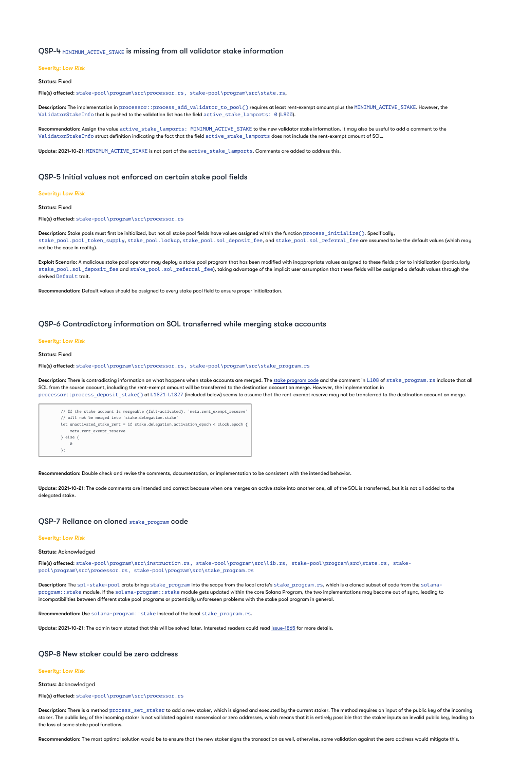### QSP-4 MINIMUM ACTIVE STAKE is missing from all validator stake information

#### Severity: *Low Risk*

Status: Fixed

File(s) affected: stake-pool\program\src\processor.rs, stake-pool\program\src\state.rs,

 $\sf{Description:}$  The implementation in  $\sf processor::process\_add\_validator\_to\_pool()$  requires at least rent-exempt amount plus the <code>MINIMUM\_ACTIVE\_STAKE.</code> However, the <code>ValidatorStakeInfo</code> that is pushed to the validation list has the field  $\verb|active_state|$  amports:  $\>$  0 (<code>L800</code>).

 $\sf Recommendation:$  Assign the value  $\verb|active_state|$  amports $:$  <code>MINIMUM\_ACTIVE\_STAKE</code> to the new validator stake information. It may also be useful to add a comment to the <code>ValidatorStakeInfo</code> struct definition indicating the fact that the field  $\verb'active_state|$  amports does not include the rent-exempt amount of SOL.

 $\sf Description:$  Stake pools must first be initialized, but not all stake pool fields have values assigned within the function  $\sf process\_initial$  istial  $\sf ice()$ . Specifically, stake\_pool.pool\_token\_supply,stake\_pool.lockup,stake\_pool.sol\_deposit\_fee,and stake\_pool.sol\_referral\_fee are assumed to be the default values (which may not be the case in reality).

**Exploit Scenario:** A malicious stake pool operator may deploy a stake pool program that has been modified with inappropriate values assigned to these fields prior to initialization (particularly stake\_pool . sol\_deposit\_fee and stake\_pool . sol\_referral\_fee), taking advantage of the implicit user assumption that these fields will be assigned a default values through the derived Default trait.

Update: 2021-10-21: MINIMUM\_ACTIVE\_STAKE is not part of the active\_stake\_lamports. Comments are added to address this.

# QSP-5 Initial values not enforced on certain stake pool fields

#### Severity: *Low Risk*

#### Status: Fixed

File(s) affected: stake-pool\program\src\processor.rs

**Update: 2021-10-21:** The code comments are intended and correct because when one merges an active stake into another one, all of the SOL is transferred, but it is not all added to the delegated stake.

File(s) affected: stake-pool\program\src\instruction.rs, stake-pool\program\src\lib.rs, stake-pool\program\src\state.rs, stakepool\program\src\processor.rs, stake-pool\program\src\stake\_program.rs

Recommendation: Default values should be assigned to every stake pool field to ensure proper initialization.

Description: The spl -stake-pool crate brings stake\_program into the scope from the local crate's stake\_program.rs, which is a cloned subset of code from the solanaprogram: : stake module. If the sol ana-program: : stake module gets updated within the core Solana Program, the two implementations may become out of sync, leading to incompatibilities between different stake pool programs or potentially unforeseen problems with the stake pool program in general.

Recommendation: Use solana-program:: stake instead of the local stake\_program.rs.

Update: 2021-10-21: The admin team stated that this will be solved later. Interested readers could read *[Issue-1865](https://github.com/solana-labs/solana-program-library/issues/1865)* for more details.

# QSP-6 Contradictory information on SOL transferred while merging stake accounts

#### Severity: *Low Risk*

Status: Fixed

File(s) affected: stake-pool\program\src\processor.rs, stake-pool\program\src\stake\_program.rs

**Description:** There is contradicting information on what happens when stake accounts are merged. The <u>[stake program code](https://github.com/solana-labs/solana/blob/master/programs/stake/src/stake_state.rs)</u> and the comment in L108 of <code>stake\_program.rs</code> indicate that all SOL from the source account, including the rent-exempt amount will be transferred to the destination account on merge. However, the implementation in processor: :process\_deposit\_stake() at L1821-L1827 (included below) seems to assume that the rent-exempt reserve may not be transferred to the destination account on merge.

Description: There is a method  $\texttt{process}\_\texttt{set}\_\texttt{stacker}$  to add a new staker, which is signed and executed by the current staker. The method requires an input of the public key of the incoming staker. The public key of the incoming staker is not validated against nonsensical or zero addresses, which means that it is entirely possible that the staker inputs an invalid public key, leading to the loss of some stake pool functions.

| // If the stake account is mergeable (full-activated), `meta.rent exempt reserve` |
|-----------------------------------------------------------------------------------|
| // will not be merged into `stake.delegation.stake`                               |
| let unactivated stake rent = if stake.delegation.activation epoch < clock.epoch { |
| meta.rent exempt reserve                                                          |
| $\}$ else $\{$                                                                    |
| 0                                                                                 |
|                                                                                   |

Recommendation: Double check and revise the comments, documentation, or implementation to be consistent with the intended behavior.

# QSP-7 Reliance on cloned stake\_program code

#### Severity: *Low Risk*

#### Status: Acknowledged

### QSP-8 New staker could be zero address

#### Severity: *Low Risk*

Status: Acknowledged

#### File(s) affected: stake-pool\program\src\processor.rs

Recommendation: The most optimal solution would be to ensure that the new staker signs the transaction as well, otherwise, some validation against the zero address would mitigate this.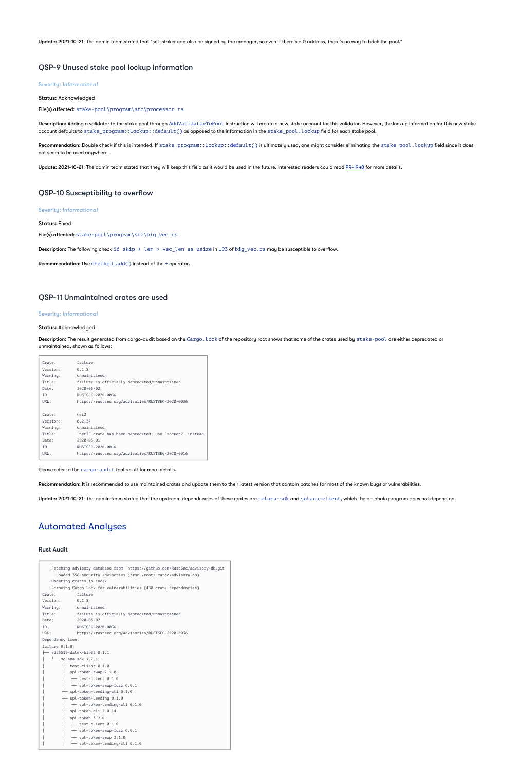Update: 2021-10-21: The admin team stated that "set\_staker can also be signed by the manager, so even if there's a 0 address, there's no way to brick the pool."

### QSP-9 Unused stake pool lockup information

Severity: *Informational*

Status: Acknowledged

File(s) affected: stake-pool\program\src\processor.rs

Description: Adding a validator to the stake pool through AddValidatorToPool instruction will create a new stake account for this validator. However, the lockup information for this new stake account defaults to <code>stake\_program::Lockup::default()</code> as opposed to the information in the <code>stake\_pool.lockup</code> field for each stake pool.

 $\sf Recommendation:$  Double check if this is intended. If <code>stake\_program::Lockup::default()</code> is ultimately used, one might consider eliminating the <code>stake\_pool</code> . <code>lockup</code> field since it does not seem to be used anywhere.

Update: 2021-10-21: The admin team stated that they will keep this field as it would be used in the future. Interested readers could read [PR-1948](https://github.com/solana-labs/solana-program-library/pull/1948) for more details.

Description: The result generated from cargo-audit based on the Cargo . Lock of the repository root shows that some of the crates used by <code>stake-pool</code> are either deprecated or unmaintained, shown as follows:

# QSP-10 Susceptibility to overflow

Severity: *Informational*

Status: Fixed

File(s) affected: stake-pool\program\src\big\_vec.rs

Description: The following check if skip + len > vec\_len as usize in L93 of big\_vec.rs may be susceptible to overflow.

Recommendation: Use checked\_add() instead of the + operator.

# QSP-11 Unmaintained crates are used

#### Severity: *Informational*

#### Status: Acknowledged

| Crate:   | failure                                                 |
|----------|---------------------------------------------------------|
| Version: | 0.1.8                                                   |
| Warning: | unmaintained                                            |
| Title:   | failure is officially deprecated/unmaintained           |
| Date:    | $2020 - 05 - 02$                                        |
| ID:      | RUSTSEC-2020-0036                                       |
| URL:     | https://rustsec.org/advisories/RUSTSEC-2020-0036        |
|          |                                                         |
| Crate:   | net2                                                    |
| Version: | 0.2.37                                                  |
| Warning: | unmaintained                                            |
| Title:   | `net2` crate has been deprecated; use `socket2` instead |
| Date:    | $2020 - 05 - 01$                                        |
| ID:      | RUSTSEC-2020-0016                                       |
| URL:     | https://rustsec.org/advisories/RUSTSEC-2020-0016        |
|          |                                                         |

Please refer to the cargo-audit tool result for more details.

Recommendation: It is recommended to use maintained crates and update them to their latest version that contain patches for most of the known bugs or vulnerabilities.

Update: 2021-10-21: The admin team stated that the upstream dependencies of these crates are solana-sdk and solana-client, which the on-chain program does not depend on.

# Automated Analyses

#### Rust Audit

Fetching advisory database from `https://github.com/RustSec/advisory-db.git` Loaded 356 security advisories (from /root/.cargo/advisory-db)

|                                          | Updating crates.io index                                         |  |  |
|------------------------------------------|------------------------------------------------------------------|--|--|
|                                          | Scanning Cargo.lock for vulnerabilities (438 crate dependencies) |  |  |
|                                          | Crate:<br>failure                                                |  |  |
|                                          | Version: 0.1.8                                                   |  |  |
|                                          | Warning: unmaintained                                            |  |  |
|                                          | Title:<br>failure is officially deprecated/unmaintained          |  |  |
|                                          | $2020 - 05 - 02$<br>Date:                                        |  |  |
|                                          | RUSTSEC-2020-0036<br>ID:                                         |  |  |
|                                          | URL:<br>https://rustsec.org/advisories/RUSTSEC-2020-0036         |  |  |
|                                          | Dependency tree:                                                 |  |  |
|                                          | failure 0.1.8                                                    |  |  |
|                                          | ├── ed25519-dalek-bip32 0.1.1                                    |  |  |
|                                          | $\leftarrow$ solana-sdk 1.7.11                                   |  |  |
|                                          | $\leftarrow$ test-client 0.1.0                                   |  |  |
|                                          | $\leftarrow$ spl-token-swap 2.1.0                                |  |  |
|                                          | $\leftarrow$ test-client 0.1.0                                   |  |  |
|                                          | spl-token-swap-fuzz 0.0.1                                        |  |  |
| $\leftarrow$ spl-token-lending-cli 0.1.0 |                                                                  |  |  |
|                                          | $\leftarrow$ spl-token-lending 0.1.0                             |  |  |
|                                          | spl-token-lending-cli 0.1.0                                      |  |  |
|                                          | $\leftarrow$ spl-token-cli 2.0.14                                |  |  |
|                                          | $\leftarrow$ spl-token 3.2.0                                     |  |  |
|                                          | test-client 0.1.0                                                |  |  |
|                                          | spl-token-swap-fuzz 0.0.1                                        |  |  |
|                                          | spl-token-swap 2.1.0                                             |  |  |
|                                          | spl-token-lending-cli 0.1.0                                      |  |  |
|                                          |                                                                  |  |  |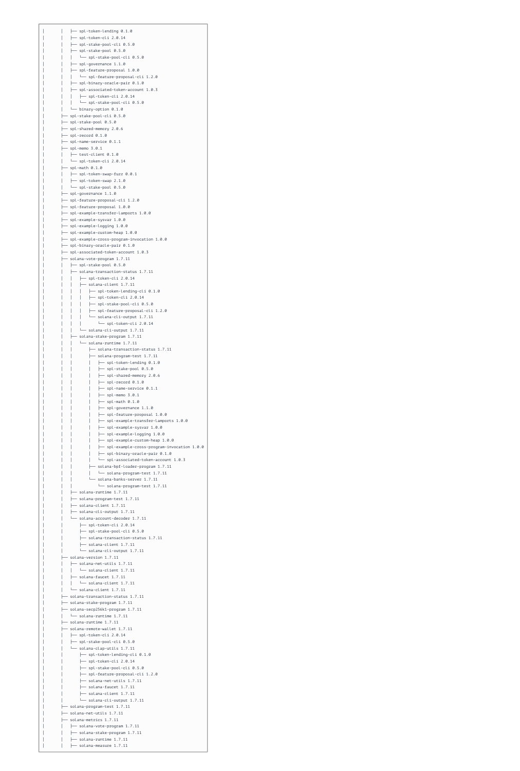| spl-token-lending 0.1.0                                                      |  |
|------------------------------------------------------------------------------|--|
| spl-token-cli 2.0.14                                                         |  |
| $\leftarrow$ spl-stake-pool-cli 0.5.0<br>spl-stake-pool 0.5.0                |  |
| spl-stake-pool-cli 0.5.0                                                     |  |
| $\leftarrow$ spl-governance 1.1.0                                            |  |
| $\leftarrow$ spl-feature-proposal 1.0.0                                      |  |
| spl-feature-proposal-cli 1.2.0<br>├── spl-binary-oracle-pair 0.1.0           |  |
| spl-associated-token-account 1.0.3                                           |  |
| $\leftarrow$ spl-token-cli 2.0.14                                            |  |
| spl-stake-pool-cli 0.5.0                                                     |  |
| binary-option $0.1.0$                                                        |  |
| spl-stake-pool-cli 0.5.0<br>- spl-stake-pool 0.5.0                           |  |
| spl-shared-memory 2.0.6                                                      |  |
| $-$ spl-record $0.1.0$                                                       |  |
| spl-name-service 0.1.1                                                       |  |
| $-$ spl-memo 3.0.1<br>$-$ test-client $0.1.0$                                |  |
| $\rightarrow$ spl-token-cli 2.0.14                                           |  |
| spl-math 0.1.0                                                               |  |
| $\leftarrow$ spl-token-swap-fuzz 0.0.1                                       |  |
| $\leftarrow$ spl-token-swap 2.1.0                                            |  |
| $-$ spl-stake-pool 0.5.0<br>$\leftarrow$ spl-governance 1.1.0                |  |
| ├― spl-feature-proposal-cli 1.2.0                                            |  |
| $\leftarrow$ spl-feature-proposal 1.0.0                                      |  |
| $\leftarrow$ spl-example-transfer-lamports 1.0.0                             |  |
| $\leftarrow$ spl-example-sysvar 1.0.0<br>5.0.0 spl-example-logging 1.0       |  |
| $\leftarrow$ spl-example-custom-heap 1.0.0                                   |  |
| ├─ spl-example-cross-program-invocation 1.0.0                                |  |
| spl-binary-oracle-pair 0.1.0 —                                               |  |
| $\leftarrow$ spl-associated-token-account 1.0.3                              |  |
| solana-vote-program 1.7.11<br>$\leftarrow$ spl-stake-pool 0.5.0              |  |
| $\leftarrow$ solana-transaction-status 1.7.11                                |  |
| $\leftarrow$ spl-token-cli 2.0.14                                            |  |
| $\leftarrow$ solana-client 1.7.11                                            |  |
| $\leftarrow$ spl-token-lending-cli 0.1.0                                     |  |
| $\leftarrow$ spl-token-cli 2.0.14<br>$\leftarrow$ spl-stake-pool-cli 0.5.0   |  |
| spl-feature-proposal-cli 1.2.0 —                                             |  |
| solana-cli-output 1.7.11                                                     |  |
| - spl-token-cli 2.0.14                                                       |  |
| solana-cli-output 1.7.11                                                     |  |
| solana-stake-program 1.7.11<br>- solana-runtime 1.7.11                       |  |
| - solana-transaction-status 1.7.11                                           |  |
| solana-program-test 1.7.11 —                                                 |  |
| - spl-token-lending 0.1.0                                                    |  |
| $\leftarrow$ spl-stake-pool 0.5.0<br>$\leftarrow$ spl-shared-memory 2.0.6    |  |
| $-$ spl-record $0.1.0$                                                       |  |
| $-$ spl-name-service $0.1.1$                                                 |  |
| $-$ spl-memo 3.0.1                                                           |  |
| - spl-math $0.1.0$                                                           |  |
| $-$ spl-governance 1.1.0<br>- spl-feature-proposal 1.0.0                     |  |
| - spl-example-transfer-lamports 1.0.0                                        |  |
| - spl-example-sysvar 1.0.0                                                   |  |
| spl-example-logging 1.0.0                                                    |  |
| spl-example-custom-heap 1.0.0                                                |  |
| - spl-example-cross-program-invocation 1.0.0<br>spl-binary-oracle-pair 0.1.0 |  |
| spl-associated-token-account 1.0.3                                           |  |
| solana-bpf-loader-program 1.7.11                                             |  |
| solana-program-test 1.7.11                                                   |  |
| – solana-banks-server 1.7.11                                                 |  |
| solana-program-test 1.7.11<br>$-$ solana-runtime 1.7.11 $\,$                 |  |
| - solana-program-test 1.7.11                                                 |  |
| solana-client 1.7.11                                                         |  |
| $\leftarrow$ solana-cli-output 1.7.11                                        |  |
| solana-account-decoder 1.7.11                                                |  |
| $\leftarrow$ spl-token-cli 2.0.14<br>$\leftarrow$ spl-stake-pool-cli 0.5.0   |  |
| $\leftarrow$ solana-transaction-status 1.7.11                                |  |
| $\leftarrow$ solana-client 1.7.11                                            |  |
| solana-cli-output 1.7.11                                                     |  |
| solana-version 1.7.11                                                        |  |
| $-$ solana-net-utils 1.7.11<br>$-$ solana-client 1.7.11                      |  |
| solana-faucet 1.7.11                                                         |  |
| $-$ solana-client 1.7.11                                                     |  |
| solana-client 1.7.11                                                         |  |
| solana-transaction-status 1.7.11                                             |  |
| - solana-stake-program 1.7.11<br>solana-secp256k1-program 1.7.11             |  |
| $\leftarrow$ solana-runtime 1.7.11                                           |  |
| solana-runtime 1.7.11                                                        |  |
| solana-remote-wallet 1.7.11                                                  |  |
| $\leftarrow$ spl-token-cli 2.0.14<br>$\leftarrow$ spl-stake-pool-cli 0.5.0   |  |
| solana-clap-utils 1.7.11                                                     |  |
| $\leftarrow$ spl-token-lending-cli 0.1.0                                     |  |
| $\leftarrow$ spl-token-cli 2.0.14                                            |  |
| $\leftarrow$ spl-stake-pool-cli 0.5.0                                        |  |
| spl-feature-proposal-cli 1.2.0                                               |  |
| $\leftarrow$ solana-net-utils 1.7.11<br>$\leftarrow$ solana-faucet 1.7.11    |  |
| $\leftarrow$ solana-client 1.7.11                                            |  |
| solana-cli-output 1.7.11                                                     |  |
| solana-program-test 1.7.11                                                   |  |
| solana-net-utils 1.7.11<br>solana-metrics 1.7.11                             |  |
| - solana-vote-program 1.7.11                                                 |  |
| solana-stake-program 1.7.11                                                  |  |
| solana-runtime 1.7.11                                                        |  |
| solana-measure 1.7.11                                                        |  |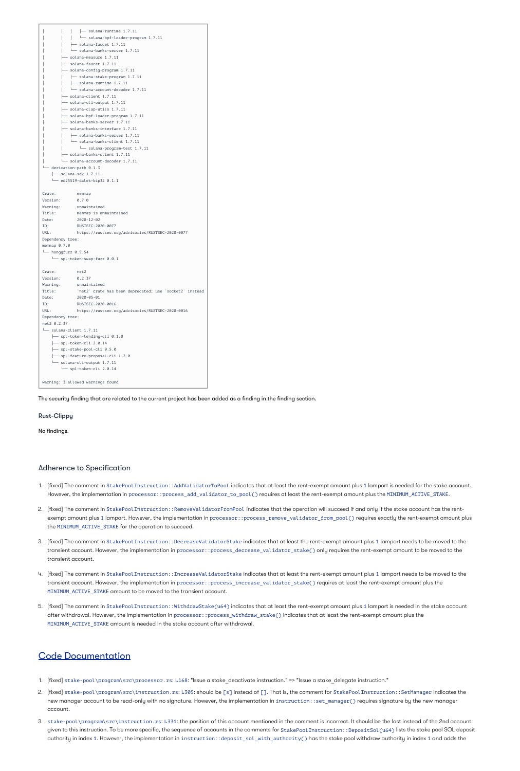|                             | - solana-runtime 1.7.11                          |
|-----------------------------|--------------------------------------------------|
|                             | solana-bpf-loader-program 1.7.11                 |
|                             | - solana-faucet 1.7.11                           |
|                             | - solana-banks-server 1.7.11                     |
|                             | solana-measure 1.7.11                            |
|                             | solana-faucet 1.7.11                             |
|                             | solana-config-program 1.7.11                     |
|                             | $\leftarrow$ solana-stake-program 1.7.11         |
|                             | $\leftarrow$ solana-runtime 1.7.11               |
|                             | $\Box$ solana-account-decoder 1.7.11             |
|                             | - solana-client 1.7.11                           |
|                             | - solana-cli-output 1.7.11                       |
|                             | solana-clap-utils 1.7.11                         |
|                             | - solana-bpf-loader-program 1.7.11               |
|                             | solana-banks-server 1.7.11                       |
|                             | solana-banks-interface 1.7.11                    |
|                             | $\leftarrow$ solana-banks-server 1.7.11          |
|                             | solana-banks-client 1.7.11                       |
|                             | - solana-program-test 1.7.11                     |
|                             | solana-banks-client 1.7.11                       |
|                             | solana-account-decoder 1.7.11                    |
| $-$ derivation-path $0.1.3$ |                                                  |
| - solana-sdk 1.7.11         |                                                  |
| ed25519-dalek-bip32 0.1.1   |                                                  |
| Crate:<br>memmap            |                                                  |
| Version:<br>0.7.0           |                                                  |
| Warning:                    | unmaintained                                     |
| Title:                      | memmap is unmaintained                           |
| Date:                       | $2020 - 12 - 02$                                 |
| ID:                         | RUSTSEC-2020-0077                                |
| URL:                        | https://rustsec.org/advisories/RUSTSEC-2020-0077 |
| Dependency tree:            |                                                  |
| memmap 0.7.0                |                                                  |
| $-$ honggfuzz $0.5.54$      |                                                  |
| spl-token-swap-fuzz 0.0.1   |                                                  |
| Crate:<br>net2              |                                                  |
| Version:<br>0.2.37          |                                                  |
| Warning: unmaintained       |                                                  |

```
Title: `net2` crate has been deprecated; use `socket2` instead
Date: 2020-05-01
ID: RUSTSEC-2020-0016
URL: https://rustsec.org/advisories/RUSTSEC-2020-0016
Dependency tree:
net2 0.2.37
└── solana-client 1.7.11
    ├── spl-token-lending-cli 0.1.0
    ├── spl-token-cli 2.0.14
    ├── spl-stake-pool-cli 0.5.0
    ├── spl-feature-proposal-cli 1.2.0
    └── solana-cli-output 1.7.11
       └── spl-token-cli 2.0.14
warning: 3 allowed warnings found
```
The security finding that are related to the current project has been added as a finding in the finding section.

### Rust-Clippy

No findings.

# Adherence to Specification

- 1. [fixed] The comment in StakePoolInstruction: :AddValidatorToPool indicates that at least the rent-exempt amount plus 1 lamport is needed for the stake account. However, the implementation in processor: :process\_add\_validator\_to\_pool() requires at least the rent-exempt amount plus the <code>MINIMUM\_ACTIVE\_STAKE.</code>
- 2. [fixed] The comment in StakePoolInstruction::RemoveValidatorFromPool indicates that the operation will succeed if and only if the stake account has the rentexempt amount plus 1 lamport. However, the implementation in processor: :process\_remove\_validator\_from\_pool() requires exactly the rent-exempt amount plus the <code>MINIMUM\_ACTIVE\_STAKE</code> for the operation to succeed.
- 3. [fixed] The comment in StakePoolInstruction::DecreaseValidatorStake indicates that at least the rent-exempt amount plus 1 lamport needs to be moved to the transient account. However, the implementation in processor: :process\_decrease\_validator\_stake() only requires the rent-exempt amount to be moved to the transient account.
- 4. [fixed] The comment in StakePoolInstruction::IncreaseValidatorStake indicates that at least the rent-exempt amount plus 1 lamport needs to be moved to the

transient account. However, the implementation in processor: :process\_increase\_validator\_stake() requires at least the rent-exempt amount plus the <code>MINIMUM\_ACTIVE\_STAKE</code> amount to be moved to the transient account.

5. [fixed] The comment in StakePoolInstruction::WithdrawStake(u64) indicates that at least the rent-exempt amount plus 1 lamport is needed in the stake account after withdrawal. However, the implementation in processor: :process\_withdraw\_stake() indicates that at least the rent-exempt amount plus the <code>MINIMUM\_ACTIVE\_STAKE</code> amount is needed in the stake account after withdrawal.

- 1. [fixed] stake-pool\program\src\processor.rs: L168: "Issue a stake\_deactivate instruction." => "Issue a stake\_delegate instruction."
- 2. [fixed] stake-pool\program\src\instruction.rs: L305: should be [s] instead of []. That is, the comment for StakePoolInstruction: :SetManager indicates the new manager account to be read-only with no signature. However, the implementation in <code>instruction::set\_manager()</code> requires signature by the new manager account.
- 3. stake-pool\program\src\instruction.rs: L331: the position of this account mentioned in the comment is incorrect. It should be the last instead of the 2nd account given to this instruction. To be more specific, the sequence of accounts in the comments for StakePool Instruction: :DepositSol (u64) lists the stake pool SOL deposit authority in index 1. However, the implementation in <code>instruction::deposit\_sol\_with\_authority()</code> has the stake pool withdraw authority in index 1 and adds the

# Code Documentation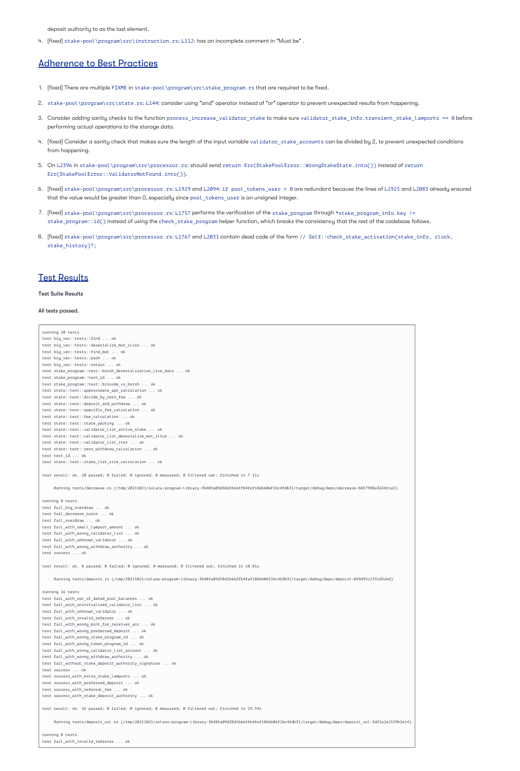deposit authority to as the last element.

4. [fixed] stake-pool\program\src\instruction.rs: L112: has an incomplete comment in "Must be" .

# Adherence to Best Practices

- 1. [fixed] There are multiple FIXME in stake-pool\program\src\stake\_program.rs that are required to be fixed.
- 2. stake-pool\program\src\state.rs: L144: consider using "and" operator instead of "or" operator to prevent unexpected results from happening.
- 3. Consider adding sanity checks to the function process\_increase\_validator\_stake sure validator\_stake\_info.transient\_stake\_lamports == 0 before performing actual operations to the storage data.
- 4. [fixed] Consider a sanity check that makes sure the length of the input variable validator\_stake\_accounts can be divided by 2, to prevent unexpected conditions from happening.
- 5. On L2396 in stake-pool\program\src\processor.rs: should send return Err(StakePoolError::WrongStakeState.into()) instead of return . Err(StakePoolError::ValidatorNotFound.into())
- 6. [fixed] stake-pool\program\src\processor.rs: L1929 and L2094: if pool\_tokens\_user > 0 are redundant because the lines of L1925 and L2083 already ensured that the value would be greater than 0, especially since pool\_tokens\_user is an unsigned integer.
- 7. [fixed] stake-pool\program\src\processor.rs: L1757 performs the verification of the stake\_program through \*stake\_program\_info.key != stake\_program: :id() instead of using the check\_stake\_program helper function, which breaks the consistency that the rest of the codebase follows.
- 8. [fixed] stake-pool\program\src\processor.rs: L1767 and L2031 contain dead code of the form // Self::check\_stake\_activation(stake\_info, clock, stake\_history)?;

# Test Results

#### Test Suite Results

#### All tests passed.

running 20 tests test big\_vec::tests::find ... ok test big vec::tests::deserialize mut slice ... ok test big vec::tests::find mut ... ok test big\_vec::tests::push ... ok test big\_vec::tests::retain ... ok test stake\_program::test::borsh\_deserialization\_live\_data ... ok test stake\_program::test\_id ... ok test stake\_program::test::bincode\_vs\_borsh ... ok test state::test::approximate\_apr\_calculation ... ok test state::test::divide\_by\_zero\_fee ... ok test state::test::deposit\_and\_withdraw ... ok test state::test::specific\_fee\_calculation ... ok test state::test::fee\_calculation ... ok test state::test::state\_packing ... ok test state::test::validator\_list\_active\_stake ... ok test state::test::validator\_list\_deserialize\_mut\_slice ... ok test state::test::validator\_list\_iter ... ok test state::test::zero\_withdraw\_calculation ... ok test test\_id ... ok test state::test::stake\_list\_size\_calculation ... ok test result: ok. 20 passed; 0 failed; 0 ignored; 0 measured; 0 filtered out; finished in 7.11s Running tests/decrease.rs (/tmp/20211021/solana-program-library-3b48fa09d38d1b66ffb4fef186b606f1bc4fdb31/target/debug/deps/decrease-b8f7988a3634fca5) running 8 tests

test fail\_big\_overdraw ... ok test fail decrease twice ... ok test fail\_overdraw ... ok test fail\_with\_small\_lamport\_amount ... ok test fail\_with\_wrong\_validator\_list ... ok test fail with unknown validator ... ok test fail\_with\_wrong\_withdraw\_authority ... ok test success ... ok

test result: ok. 8 passed; 0 failed; 0 ignored; 0 measured; 0 filtered out; finished in 10.81s

Running tests/deposit.rs (/tmp/20211021/solana-program-library-3b48fa09d38d1b66ffb4fef186b606f1bc4fdb31/target/debug/deps/deposit-849d95c2331d3cbd)

running 16 tests

test fail\_with\_out\_of\_dated\_pool\_balances ... ok

test fail with uninitialized validator list ... ok

test fail\_with\_unknown\_validator ... ok

test fail\_with\_invalid\_referrer ... ok

test fail\_with\_wrong\_mint\_for\_receiver\_acc ... ok

test fail with wrong preferred deposit ... ok

test fail\_with\_wrong\_stake\_program\_id ... ok

test fail with wrong token program id ... ok

test fail with wrong validator list account ... ok

test fail\_with\_wrong\_withdraw\_authority ... ok

test fail\_without\_stake\_deposit\_authority\_signature ... ok

test success ... ok

test success\_with\_extra\_stake\_lamports ... ok

test success with preferred deposit ... ok

test success\_with\_referral\_fee ... ok

test success\_with\_stake\_deposit\_authority ... ok

test result: ok. 16 passed; 0 failed; 0 ignored; 0 measured; 0 filtered out; finished in 19.59s

Running tests/deposit\_sol.rs (/tmp/20211021/solana-program-library-3b48fa09d38d1b66ffb4fef186b606f1bc4fdb31/target/debug/deps/deposit\_sol-3df5a2e2559b2e14)

running 8 tests

test fail\_with\_invalid\_referrer ... ok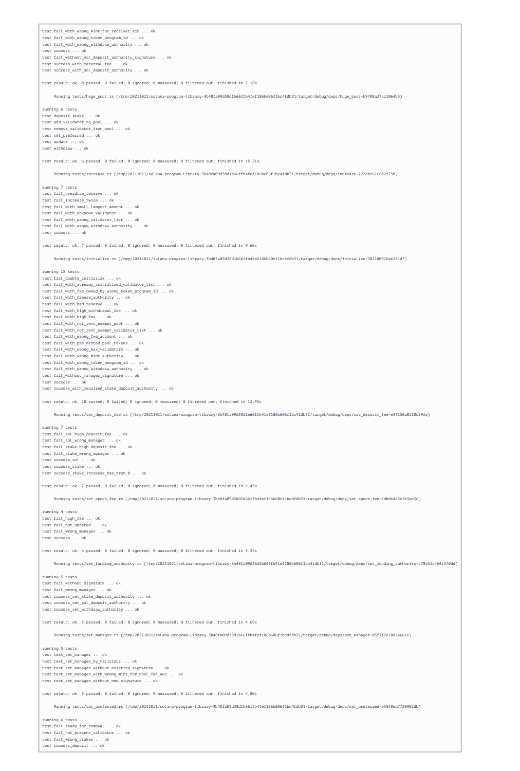test fail\_with\_wrong\_mint\_for\_receiver\_acc ... ok test fail\_with\_wrong\_token\_program\_id ... ok test fail\_with\_wrong\_withdraw\_authority ... ok test success ... ok test fail\_without\_sol\_deposit\_authority\_signature ... ok test success\_with\_referral\_fee ... ok

test success with sol deposit authority ... ok

test result: ok. 8 passed; 0 failed; 0 ignored; 0 measured; 0 filtered out; finished in 7.18s

Running tests/huge\_pool.rs (/tmp/20211021/solana-program-library-3b48fa09d38d1b66ffb4fef186b606f1bc4fdb31/target/debug/deps/huge\_pool-b9708a27ac1064b3)

running 6 tests test deposit\_stake ... ok test add\_validator\_to\_pool ... ok test remove\_validator\_from\_pool ... ok test set\_preferred ... ok test update ... ok test withdraw ... ok

test result: ok. 6 passed; 0 failed; 0 ignored; 0 measured; 0 filtered out; finished in 15.21s

Running tests/increase.rs (/tmp/20211021/solana-program-library-3b48fa09d38d1b66ffb4fef186b606f1bc4fdb31/target/debug/deps/increase-222cbc6166d2f23b)

running 7 tests test fail\_overdraw\_reserve ... ok test fail\_increase\_twice ... ok test fail\_with\_small\_lamport\_amount ... ok test fail\_with\_unknown\_validator ... ok test fail\_with\_wrong\_validator\_list ... ok test fail\_with\_wrong\_withdraw\_authority ... ok test success ... ok

test result: ok. 7 passed; 0 failed; 0 ignored; 0 measured; 0 filtered out; finished in 9.66s

Running tests/initialize.rs (/tmp/20211021/solana-program-library-3b48fa09d38d1b66ffb4fef186b606f1bc4fdb31/target/debug/deps/initialize-502180976e6291d7)

running 18 tests test fail\_double\_initialize ... ok test fail\_with\_already\_initialized\_validator\_list ... ok test fail\_with\_fee\_owned\_by\_wrong\_token\_program\_id ... ok test fail\_with\_freeze\_authority ... ok test fail\_with\_bad\_reserve ... ok test fail\_with\_high\_withdrawal\_fee ... ok test fail\_with\_high\_fee ... ok test fail\_with\_not\_rent\_exempt\_pool ... ok test fail\_with\_not\_rent\_exempt\_validator\_list ... ok test fail\_with\_wrong\_fee\_account ... ok test fail\_with\_pre\_minted\_pool\_tokens ... ok test fail\_with\_wrong\_max\_validators ... ok test fail\_with\_wrong\_mint\_authority ... ok test fail\_with\_wrong\_token\_program\_id ... ok test fail\_with\_wrong\_withdraw\_authority ... ok test fail\_without\_manager\_signature ... ok test success ... ok test success\_with\_required\_stake\_deposit\_authority ... ok

test result: ok. 18 passed; 0 failed; 0 ignored; 0 measured; 0 filtered out; finished in 12.35s

Running tests/set\_deposit\_fee.rs (/tmp/20211021/solana-program-library-3b48fa09d38d1b66ffb4fef186b606f1bc4fdb31/target/debug/deps/set\_deposit\_fee-e33156d0210df9fe)

running 7 tests test fail\_sol\_high\_deposit\_fee ... ok test fail\_sol\_wrong\_manager ... ok test fail\_stake\_high\_deposit\_fee ... ok test fail\_stake\_wrong\_manager ... ok test success\_sol ... ok test success\_stake ... ok test success\_stake\_increase\_fee\_from\_0 ... ok

test result: ok. 7 passed; 0 failed; 0 ignored; 0 measured; 0 filtered out; finished in 5.43s

Running tests/set\_epoch\_fee.rs (/tmp/20211021/solana-program-library-3b48fa09d38d1b66ffb4fef186b606f1bc4fdb31/target/debug/deps/set\_epoch\_fee-7d0d64d3c2b3ee36)

running 4 tests test fail\_high\_fee ... ok test fail not updated ... ok test fail\_wrong\_manager ... ok test success ... ok

test result: ok. 4 passed; 0 failed; 0 ignored; 0 measured; 0 filtered out; finished in 3.35s

Running tests/set\_funding\_authority.rs (/tmp/20211021/solana-program-library-3b48fa09d38d1b66ffb4fef186b606f1bc4fdb31/target/debug/deps/set\_funding\_authority-c78e51c464f370dd)

```
running 5 tests
test fail_without_signature ... ok
test fail_wrong_manager ... ok
test success set stake deposit authority ... ok
test success_set_sol_deposit_authority ... ok
test success_set_withdraw_authority ... ok
test result: ok. 5 passed; 0 failed; 0 ignored; 0 measured; 0 filtered out; finished in 4.69s
     Running tests/set manager.rs (/tmp/20211021/solana-program-library-3b48fa09d38d1b66ffb4fef186b606f1bc4fdb31/target/debug/deps/set manager-03f7f7e18d2a661c)
running 5 tests
test test_set_manager ... ok
test test_set_manager_by_malicious ... ok
test test set manager without existing signature ... ok
test test_set_manager_with_wrong_mint_for_pool_fee_acc ... ok
test test_set_manager_without_new_signature ... ok
test result: ok. 5 passed; 0 failed; 0 ignored; 0 measured; 0 filtered out; finished in 4.80s
     Running tests/set_preferred.rs (/tmp/20211021/solana-program-library-3b48fa09d38d1b66ffb4fef186b606f1bc4fdb31/target/debug/deps/set_preferred-e5548ed7720902db)
running 6 tests
```
test fail\_ready\_for\_removal ... ok test fail\_not\_present\_validator ... ok test fail\_wrong\_staker ... ok test success\_deposit ... ok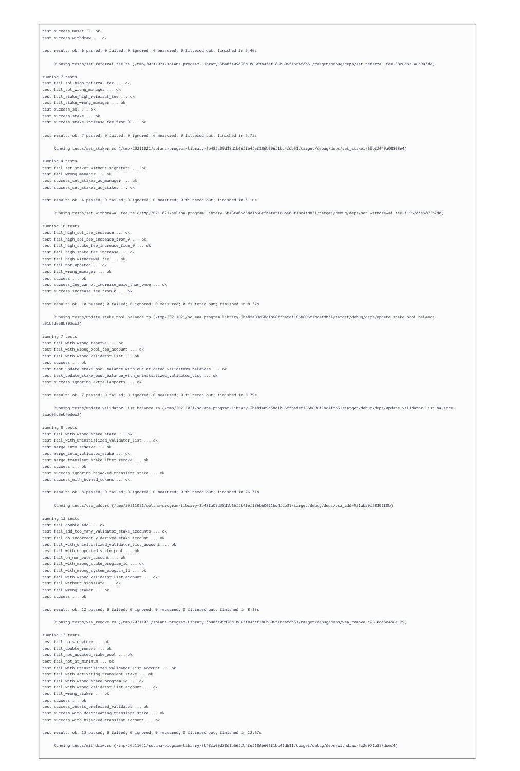test success\_unset ... ok

test success\_withdraw ... ok

test result: ok. 6 passed; 0 failed; 0 ignored; 0 measured; 0 filtered out; finished in 5.40s

Running tests/set referral fee.rs (/tmp/20211021/solana-program-library-3b48fa09d38d1b66ffb4fef186b606f1bc4fdb31/target/debug/deps/set referral fee-58c6dba1a6c947dc)

running 7 tests test fail sol high referral fee ... ok test fail sol wrong manager ... ok test fail\_stake\_high\_referral\_fee ... ok test fail\_stake\_wrong\_manager ... ok test success\_sol ... ok test success\_stake ... ok test success\_stake\_increase\_fee\_from\_0 ... ok

test result: ok. 7 passed; 0 failed; 0 ignored; 0 measured; 0 filtered out; finished in 5.72s

Running tests/set\_staker.rs (/tmp/20211021/solana-program-library-3b48fa09d38d1b66ffb4fef186b606f1bc4fdb31/target/debug/deps/set\_staker-60bf2449a08868e4)

running 4 tests test fail set staker without signature ... ok test fail\_wrong\_manager ... ok test success set staker as manager ... ok test success\_set\_staker\_as\_staker ... ok

test result: ok. 4 passed; 0 failed; 0 ignored; 0 measured; 0 filtered out; finished in 3.10s

Running tests/set\_withdrawal\_fee.rs (/tmp/20211021/solana-program-library-3b48fa09d38d1b66ffb4fef186b606f1bc4fdb31/target/debug/deps/set\_withdrawal\_fee-f1962d3e9d72b2d0)

running 10 tests test fail\_high\_sol\_fee\_increase ... ok test fail\_high\_sol\_fee\_increase\_from\_0 ... ok test fail\_high\_stake\_fee\_increase\_from\_0 ... ok test fail high stake fee increase ... ok test fail\_high\_withdrawal\_fee ... ok test fail not updated ... ok test fail\_wrong\_manager ... ok test success ... ok test success\_fee\_cannot\_increase\_more\_than\_once ... ok test success increase fee from 0 ... ok test result: ok. 10 passed; 0 failed; 0 ignored; 0 measured; 0 filtered out; finished in 8.37s Running tests/update\_stake\_pool\_balance.rs (/tmp/20211021/solana-program-library-3b48fa09d38d1b66ffb4fef186b606f1bc4fdb31/target/debug/deps/update\_stake\_pool\_balancea31b5de38b303cc2) running 7 tests test fail with wrong reserve ... ok test fail\_with\_wrong\_pool\_fee\_account ... ok test fail\_with\_wrong\_validator\_list ... ok test success ... ok test test\_update\_stake\_pool\_balance\_with\_out\_of\_dated\_validators\_balances ... ok test test\_update\_stake\_pool\_balance\_with\_uninitialized\_validator\_list ... ok test success\_ignoring\_extra\_lamports ... ok test result: ok. 7 passed; 0 failed; 0 ignored; 0 measured; 0 filtered out; finished in 8.79s Running tests/update\_validator\_list\_balance.rs (/tmp/20211021/solana-program-library-3b48fa09d38d1b66ffb4fef186b606f1bc4fdb31/target/debug/deps/update\_validator\_list\_balance-2aac03c3eb4edec2) running 8 tests test fail\_with\_wrong\_stake\_state ... ok test fail\_with\_uninitialized\_validator\_list ... ok test merge\_into\_reserve ... ok

test merge\_into\_validator\_stake ... ok test merge\_transient\_stake\_after\_remove ... ok test success ... ok test success\_ignoring\_hijacked\_transient\_stake ... ok test success\_with\_burned\_tokens ... ok

test result: ok. 8 passed; 0 failed; 0 ignored; 0 measured; 0 filtered out; finished in 26.31s

Running tests/vsa\_add.rs (/tmp/20211021/solana-program-library-3b48fa09d38d1b66ffb4fef186b606f1bc4fdb31/target/debug/deps/vsa\_add-921aba0d5830ff0b)

running 12 tests test fail\_double\_add ... ok test fail add too many validator stake accounts ... ok test fail\_on\_incorrectly\_derived\_stake\_account ... ok test fail\_with\_uninitialized\_validator\_list\_account ... ok test fail\_with\_unupdated\_stake\_pool ... ok test fail\_on\_non\_vote\_account ... ok test fail\_with\_wrong\_stake\_program\_id ... ok test fail\_with\_wrong\_system\_program\_id ... ok

test fail\_with\_wrong\_validator\_list\_account ... ok

test fail\_without\_signature ... ok

test fail\_wrong\_staker ... ok

test success ... ok

test result: ok. 12 passed; 0 failed; 0 ignored; 0 measured; 0 filtered out; finished in 8.33s

Running tests/vsa remove.rs (/tmp/20211021/solana-program-library-3b48fa09d38d1b66ffb4fef186b606f1bc4fdb31/target/debug/deps/vsa remove-c2810cd8e496e129)

running 13 tests test fail\_no\_signature ... ok test fail\_double\_remove ... ok test fail\_not\_updated\_stake\_pool ... ok test fail\_not\_at\_minimum ... ok test fail with uninitialized validator list account ... ok test fail with activating transient stake ... ok test fail\_with\_wrong\_stake\_program\_id ... ok test fail\_with\_wrong\_validator\_list\_account ... ok test fail\_wrong\_staker ... ok test success ... ok test success\_resets\_preferred\_validator ... ok test success\_with\_deactivating\_transient\_stake ... ok test success\_with\_hijacked\_transient\_account ... ok

test result: ok. 13 passed; 0 failed; 0 ignored; 0 measured; 0 filtered out; finished in 12.67s

Running tests/withdraw.rs (/tmp/20211021/solana-program-library-3b48fa09d38d1b66ffb4fef186b606f1bc4fdb31/target/debug/deps/withdraw-7c2e071a827dcef4)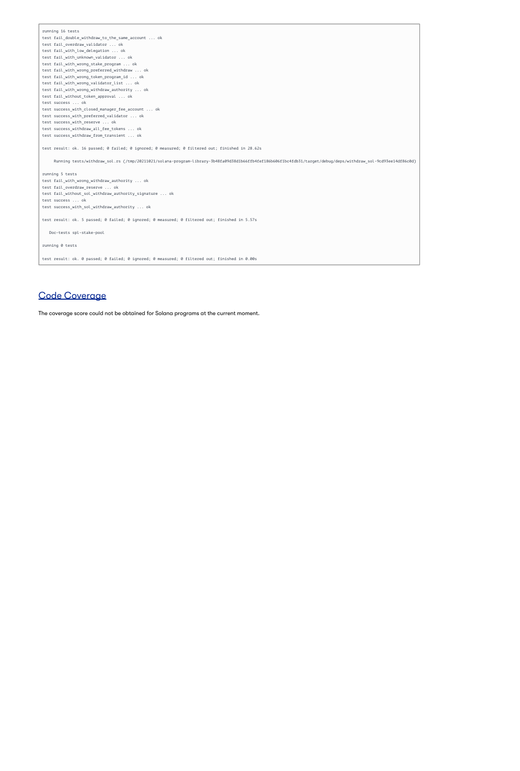running 16 tests

test fail\_double\_withdraw\_to\_the\_same\_account ... ok

test fail\_overdraw\_validator ... ok

test fail\_with\_low\_delegation ... ok

test fail\_with\_unknown\_validator ... ok

test fail\_with\_wrong\_stake\_program ... ok

test fail\_with\_wrong\_preferred\_withdraw ... ok

test fail\_with\_wrong\_token\_program\_id ... ok

test fail\_with\_wrong\_validator\_list ... ok

test fail\_with\_wrong\_withdraw\_authority ... ok

test fail\_without\_token\_approval ... ok

test success ... ok

test success\_with\_closed\_manager\_fee\_account ... ok

test success\_with\_preferred\_validator ... ok

test success\_with\_reserve ... ok

test success\_withdraw\_all\_fee\_tokens ... ok

test success\_withdraw\_from\_transient ... ok

test result: ok. 16 passed; 0 failed; 0 ignored; 0 measured; 0 filtered out; finished in 28.62s

Running tests/withdraw\_sol.rs (/tmp/20211021/solana-program-library-3b48fa09d38d1b66ffb4fef186b606f1bc4fdb31/target/debug/deps/withdraw\_sol-9cd93ee14df86c0d)

running 5 tests

test fail\_with\_wrong\_withdraw\_authority ... ok

test fail\_overdraw\_reserve ... ok

test fail\_without\_sol\_withdraw\_authority\_signature ... ok

test success ... ok

test success\_with\_sol\_withdraw\_authority ... ok

test result: ok. 5 passed; 0 failed; 0 ignored; 0 measured; 0 filtered out; finished in 5.57s

Doc-tests spl-stake-pool

running 0 tests

test result: ok. 0 passed; 0 failed; 0 ignored; 0 measured; 0 filtered out; finished in 0.00s

# Code Coverage

The coverage score could not be obtained for Solana programs at the current moment.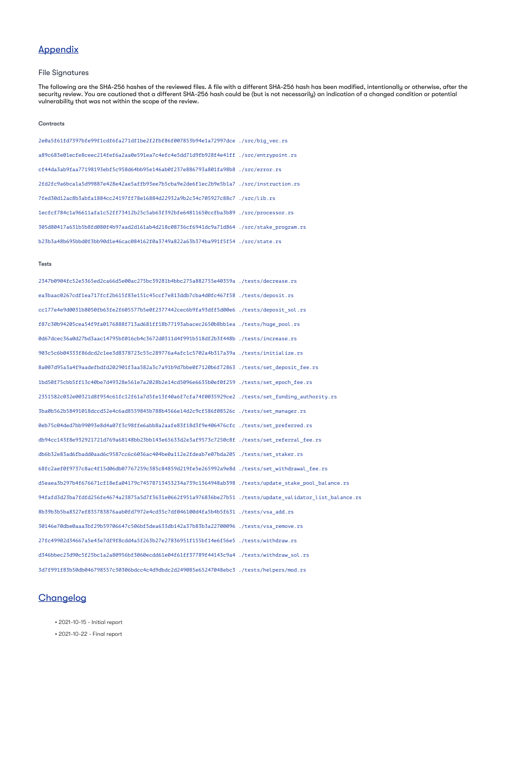# Appendix

# File Signatures

The following are the SHA-256 hashes of the reviewed files. A file with a different SHA-256 hash has been modified, intentionally or otherwise, after the security review. You are cautioned that a different SHA-256 hash could be (but is not necessarily) an indication of a changed condition or potential vulnerability that was not within the scope of the review.

#### **Contracts**

2e0a5f61fd7397bfe99f1cdf6fa271df1be2f2fbf86f007853b94e1a72997dce ./src/big\_vec.rs a89c683e01ecfe8ceec214fef6a2aa0e591ea7c4efc4e5dd71d9fb928f4e41ff ./src/entrypoint.rs cf44da3ab9faa77198193ebf5c958d64bb95e146ab0f237e886793a801fa98b8 ./src/error.rs 2fd2fc9a6bca1a5d99887e428e42ae5affb93ee7b5cba9e2de6f1ec2b9e5b1a7 ./src/instruction.rs 7fed30d12ac8b3abfa1884cc24197ff78e16884d22932a9b2c34c705927c88c7 ./src/lib.rs 1ecfcf784c1a96611afa1c52ff73412b25c5ab63f392bfe64811650ccfba3b89 ./src/processor.rs 305d80417a631b5b8fd080f4b97aad2d161ab4d218c08736cf6941dc9a71d864 ./src/stake\_program.rs b23b3a48b695bbd0f3bb90d1e46cac084162f0a3749a822a63b374ba991f5f54 ./src/state.rs

#### Tests

2347b0904fc52e5365ed2ca66d5e00ac275bc39281b4bbc275a882755e40359a ./tests/decrease.rs

ea3baac0267cdf1ea717fcf2b615f83e151c45ccf7e813ddb7cba4d0fc467f58 ./tests/deposit.rs cc177e4e9d0031b8050fb63fe2f605577b5e0f2377442cec6b9fa93dff5d00e6 ./tests/deposit\_sol.rs f87c30b94205cea54f9fa0176888f713ad681ff18b77193abacec2650b8bb1ea ./tests/huge\_pool.rs 0d67dcec36a0d27bd3aac14795bf016cb4c3672d0311d4f991b518df2b3f448b ./tests/increase.rs 903c5c6b04333f86dcd2c1ee3d8378723c55c289776a4afc1c5702a4b317a39a ./tests/initialize.rs 8a007d95a3a4f9aadefbdfd202901f3aa582a3c7a91b9d7bbe0f7120b6f72863 ./tests/set\_deposit\_fee.rs 1bd50f75cbb5ff13c40be7d49328e561e7a2028b2e14cd5096e6635b0ef0f259 ./tests/set\_epoch\_fee.rs 2351582c032e00321d8f954c61fc12f61a7d5fe13f40a6f7cfa74f0035929ce2 ./tests/set\_funding\_authority.rs 3ba0b562b58491018dccd52e4c6ad8559845b788b4566e14d2c9cf586f08526c ./tests/set\_manager.rs 0eb75c04ded7bb99093e8d4a07f3c98ffe6abb8a2aafe83f18d3f9e406476cfc ./tests/set\_preferred.rs db94cc143f8e932921721d769a68148bb23bb143e65633d2e3af9573c7250c8f ./tests/set\_referral\_fee.rs db6b32e83ad6fbadd0aad6c9587cc6c6036ac404be0a112e2fdeab7e07bda205 ./tests/set\_staker.rs 68fc2aef0f9737c8ac4f15d06db07767259c385c84859d219fe5e265992a9e8d ./tests/set\_withdrawal\_fee.rs d5eaea3b297b4f676671cf18efa04179c74578713453234a739c1364948ab398 ./tests/update\_stake\_pool\_balance.rs 94fafd3d23ba7fdfd256fe4674a23875a5d7f3631e0662f951a976836be27b51 ./tests/update\_validator\_list\_balance.rs 8b39b3b5ba8327ef835783876aab0fd7972e4cd35c7df046100d4fa5b4b5f631 ./tests/vsa\_add.rs 30146e70dbe0aaa3bf29b59706647c506bf5dea633db142a37b83b3a22700096 ./tests/vsa\_remove.rs 27fc49902d34667a5e43e7df9f8cdd4a5f263b27e27836951f155bf14e6f56e5 ./tests/withdraw.rs d346bbec23d90c5f25bc1a2a80956bf3060ecdd61e04f61ff37789f44143c9a4 ./tests/withdraw\_sol.rs 3d7f991f83b50db046798557c30306bdcc4c4d9dbdc2d249085e65247048ebc3 ./tests/helpers/mod.rs



• 2021-10-15 - Initial report

• 2021-10-22 - Final report